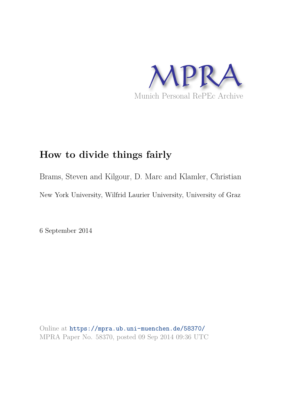

## **How to divide things fairly**

Brams, Steven and Kilgour, D. Marc and Klamler, Christian New York University, Wilfrid Laurier University, University of Graz

6 September 2014

Online at https://mpra.ub.uni-muenchen.de/58370/ MPRA Paper No. 58370, posted 09 Sep 2014 09:36 UTC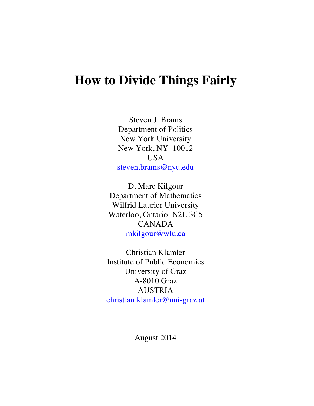# **How to Divide Things Fairly**

Steven J. Brams Department of Politics New York University New York, NY 10012 USA steven.brams@nyu.edu

D. Marc Kilgour Department of Mathematics Wilfrid Laurier University Waterloo, Ontario N2L 3C5 CANADA mkilgour@wlu.ca

Christian Klamler Institute of Public Economics University of Graz A-8010 Graz AUSTRIA christian.klamler@uni-graz.at

August 2014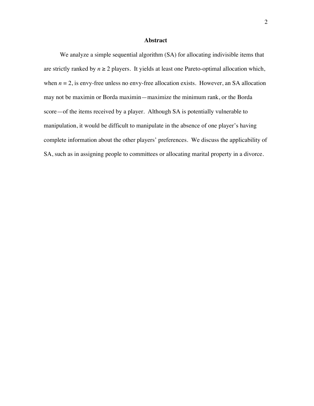#### **Abstract**

We analyze a simple sequential algorithm (SA) for allocating indivisible items that are strictly ranked by  $n \geq 2$  players. It yields at least one Pareto-optimal allocation which, when  $n = 2$ , is envy-free unless no envy-free allocation exists. However, an SA allocation may not be maximin or Borda maximin—maximize the minimum rank, or the Borda score—of the items received by a player. Although SA is potentially vulnerable to manipulation, it would be difficult to manipulate in the absence of one player's having complete information about the other players' preferences. We discuss the applicability of SA, such as in assigning people to committees or allocating marital property in a divorce.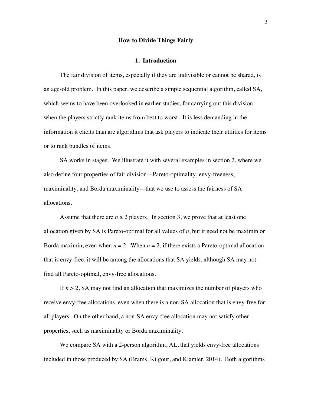#### **How to Divide Things Fairly**

#### **1. Introduction**

The fair division of items, especially if they are indivisible or cannot be shared, is an age-old problem. In this paper, we describe a simple sequential algorithm, called SA, which seems to have been overlooked in earlier studies, for carrying out this division when the players strictly rank items from best to worst. It is less demanding in the information it elicits than are algorithms that ask players to indicate their utilities for items or to rank bundles of items.

SA works in stages. We illustrate it with several examples in section 2, where we also define four properties of fair division—Pareto-optimality, envy-freeness, maximinality, and Borda maximinality—that we use to assess the fairness of SA allocations.

Assume that there are  $n \geq 2$  players. In section 3, we prove that at least one allocation given by SA is Pareto-optimal for all values of *n*, but it need not be maximin or Borda maximin, even when  $n = 2$ . When  $n = 2$ , if there exists a Pareto-optimal allocation that is envy-free, it will be among the allocations that SA yields, although SA may not find all Pareto-optimal, envy-free allocations.

If  $n > 2$ , SA may not find an allocation that maximizes the number of players who receive envy-free allocations, even when there is a non-SA allocation that is envy-free for all players. On the other hand, a non-SA envy-free allocation may not satisfy other properties, such as maximinality or Borda maximinality.

We compare SA with a 2-person algorithm, AL, that yields envy-free allocations included in those produced by SA (Brams, Kilgour, and Klamler, 2014). Both algorithms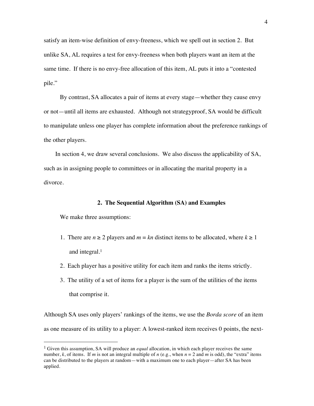satisfy an item-wise definition of envy-freeness, which we spell out in section 2. But unlike SA, AL requires a test for envy-freeness when both players want an item at the same time. If there is no envy-free allocation of this item, AL puts it into a "contested pile."

By contrast, SA allocates a pair of items at every stage—whether they cause envy or not—until all items are exhausted. Although not strategyproof, SA would be difficult to manipulate unless one player has complete information about the preference rankings of the other players.

In section 4, we draw several conclusions. We also discuss the applicability of SA, such as in assigning people to committees or in allocating the marital property in a divorce.

#### **2. The Sequential Algorithm (SA) and Examples**

We make three assumptions:

<u>.</u>

- 1. There are  $n \ge 2$  players and  $m = kn$  distinct items to be allocated, where  $k \ge 1$ and integral.<sup>1</sup>
- 2. Each player has a positive utility for each item and ranks the items strictly.
- 3. The utility of a set of items for a player is the sum of the utilities of the items that comprise it.

Although SA uses only players' rankings of the items, we use the *Borda score* of an item as one measure of its utility to a player: A lowest-ranked item receives 0 points, the next-

<sup>1</sup> Given this assumption, SA will produce an *equal* allocation, in which each player receives the same number, k, of items. If *m* is not an integral multiple of *n* (e.g., when  $n = 2$  and *m* is odd), the "extra" items can be distributed to the players at random—with a maximum one to each player—after SA has been applied.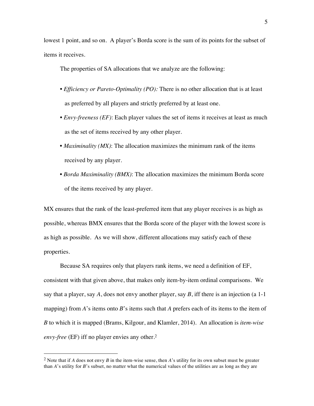lowest 1 point, and so on. A player's Borda score is the sum of its points for the subset of items it receives.

The properties of SA allocations that we analyze are the following:

- *Efficiency or Pareto-Optimality (PO):* There is no other allocation that is at least as preferred by all players and strictly preferred by at least one.
- *Envy-freeness (EF)*: Each player values the set of items it receives at least as much as the set of items received by any other player.
- *Maximinality (MX)*: The allocation maximizes the minimum rank of the items received by any player.
- *Borda Maximinality (BMX)*: The allocation maximizes the minimum Borda score of the items received by any player.

MX ensures that the rank of the least-preferred item that any player receives is as high as possible, whereas BMX ensures that the Borda score of the player with the lowest score is as high as possible. As we will show, different allocations may satisfy each of these properties.

Because SA requires only that players rank items, we need a definition of EF, consistent with that given above, that makes only item-by-item ordinal comparisons. We say that a player, say  $A$ , does not envy another player, say  $B$ , iff there is an injection (a 1-1 mapping) from *A*'s items onto *B*'s items such that *A* prefers each of its items to the item of *B* to which it is mapped (Brams, Kilgour, and Klamler, 2014). An allocation is *item-wise envy-free* (EF) iff no player envies any other.<sup>2</sup>

<sup>2</sup> Note that if *A* does not envy *B* in the item-wise sense, then *A*'s utility for its own subset must be greater than *A*'s utility for *B*'s subset, no matter what the numerical values of the utilities are as long as they are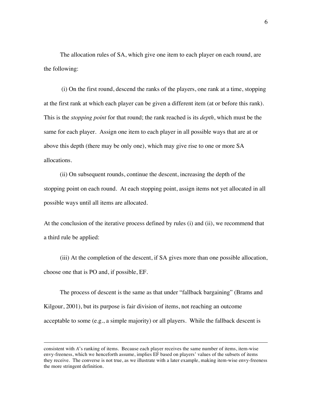The allocation rules of SA, which give one item to each player on each round, are the following:

 (i) On the first round, descend the ranks of the players, one rank at a time, stopping at the first rank at which each player can be given a different item (at or before this rank). This is the *stopping point* for that round; the rank reached is its *depth*, which must be the same for each player. Assign one item to each player in all possible ways that are at or above this depth (there may be only one), which may give rise to one or more SA allocations.

(ii) On subsequent rounds, continue the descent, increasing the depth of the stopping point on each round. At each stopping point, assign items not yet allocated in all possible ways until all items are allocated.

At the conclusion of the iterative process defined by rules (i) and (ii), we recommend that a third rule be applied:

(iii) At the completion of the descent, if SA gives more than one possible allocation, choose one that is PO and, if possible, EF.

The process of descent is the same as that under "fallback bargaining" (Brams and Kilgour, 2001), but its purpose is fair division of items, not reaching an outcome acceptable to some (e.g., a simple majority) or all players. While the fallback descent is

 $\overline{a}$ 

consistent with *A*'s ranking of items. Because each player receives the same number of items, item-wise envy-freeness, which we henceforth assume, implies EF based on players' values of the subsets of items they receive. The converse is not true, as we illustrate with a later example, making item-wise envy-freeness the more stringent definition.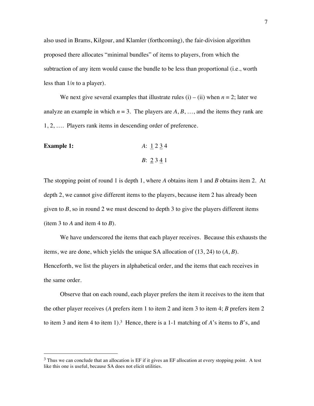also used in Brams, Kilgour, and Klamler (forthcoming), the fair-division algorithm proposed there allocates "minimal bundles" of items to players, from which the subtraction of any item would cause the bundle to be less than proportional (i.e., worth less than 1/*n* to a player).

We next give several examples that illustrate rules  $(i) - (ii)$  when  $n = 2$ ; later we analyze an example in which  $n = 3$ . The players are  $A, B, \ldots$ , and the items they rank are 1, 2, …. Players rank items in descending order of preference.

**Example 1:**   
*A*: 
$$
1 2 3 4
$$
  
*B*:  $2 3 4 1$ 

<u>.</u>

The stopping point of round 1 is depth 1, where *A* obtains item 1 and *B* obtains item 2. At depth 2, we cannot give different items to the players, because item 2 has already been given to  $B$ , so in round 2 we must descend to depth 3 to give the players different items (item 3 to  $\vec{A}$  and item 4 to  $\vec{B}$ ).

We have underscored the items that each player receives. Because this exhausts the items, we are done, which yields the unique SA allocation of (13, 24) to (*A*, *B*). Henceforth, we list the players in alphabetical order, and the items that each receives in the same order.

Observe that on each round, each player prefers the item it receives to the item that the other player receives (*A* prefers item 1 to item 2 and item 3 to item 4; *B* prefers item 2 to item 3 and item 4 to item 1).<sup>3</sup> Hence, there is a 1-1 matching of *A*'s items to *B*'s, and

 $3$  Thus we can conclude that an allocation is EF if it gives an EF allocation at every stopping point. A test like this one is useful, because SA does not elicit utilities.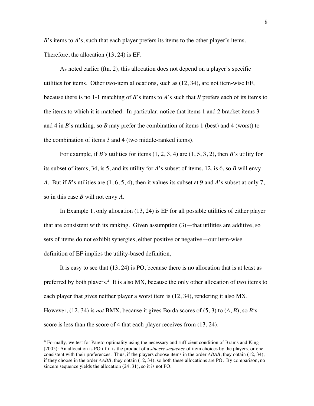*B*'s items to *A*'s, such that each player prefers its items to the other player's items. Therefore, the allocation (13, 24) is EF.

As noted earlier (ftn. 2), this allocation does not depend on a player's specific utilities for items. Other two-item allocations, such as (12, 34), are not item-wise EF, because there is no 1-1 matching of *B*'s items to *A*'s such that *B* prefers each of its items to the items to which it is matched. In particular, notice that items 1 and 2 bracket items 3 and 4 in *B*'s ranking, so *B* may prefer the combination of items 1 (best) and 4 (worst) to the combination of items 3 and 4 (two middle-ranked items).

For example, if *B*'s utilities for items  $(1, 2, 3, 4)$  are  $(1, 5, 3, 2)$ , then *B*'s utility for its subset of items, 34, is 5, and its utility for *A*'s subset of items, 12, is 6, so *B* will envy *A*. But if *B*'s utilities are (1, 6, 5, 4), then it values its subset at 9 and *A*'s subset at only 7, so in this case *B* will not envy *A*.

In Example 1, only allocation (13, 24) is EF for all possible utilities of either player that are consistent with its ranking. Given assumption  $(3)$ —that utilities are additive, so sets of items do not exhibit synergies, either positive or negative—our item-wise definition of EF implies the utility-based definition,

It is easy to see that (13, 24) is PO, because there is no allocation that is at least as preferred by both players.<sup>4</sup> It is also MX, because the only other allocation of two items to each player that gives neither player a worst item is  $(12, 34)$ , rendering it also MX. However, (12, 34) is *not* BMX, because it gives Borda scores of (5, 3) to (*A*, *B*), so *B*'s score is less than the score of 4 that each player receives from  $(13, 24)$ .

<sup>4</sup> Formally, we test for Pareto-optimality using the necessary and sufficient condition of Brams and King (2005): An allocation is PO iff it is the product of a *sincere sequence* of item choices by the players, or one consistent with their preferences. Thus, if the players choose items in the order *ABAB*, they obtain (12, 34); if they choose in the order *AABB*, they obtain (12, 34), so both these allocations are PO. By comparison, no sincere sequence yields the allocation (24, 31), so it is not PO.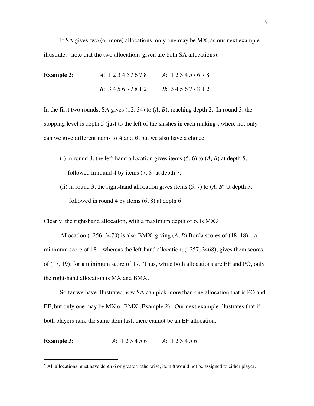If SA gives two (or more) allocations, only one may be MX, as our next example illustrates (note that the two allocations given are both SA allocations):

**Example 2:** *A*: 1 2 3 4 5 **/** 6 7 8 *A*: 1 2 3 4 5 **/** 6 7 8 *B*: 3 4 5 6 7 **/** 8 1 2 *B*: 3 4 5 6 7 **/** 8 1 2

In the first two rounds, SA gives (12, 34) to  $(A, B)$ , reaching depth 2. In round 3, the stopping level is depth 5 (just to the left of the slashes in each ranking), where not only can we give different items to *A* and *B*, but we also have a choice:

- (i) in round 3, the left-hand allocation gives items (5, 6) to (*A, B*) at depth 5, followed in round 4 by items (7, 8) at depth 7;
- (ii) in round 3, the right-hand allocation gives items  $(5, 7)$  to  $(A, B)$  at depth 5, followed in round 4 by items (6, 8) at depth 6.

Clearly, the right-hand allocation, with a maximum depth of 6, is MX.<sup>5</sup>

Allocation (1256, 3478) is also BMX, giving  $(A, B)$  Borda scores of  $(18, 18)$ —a minimum score of 18—whereas the left-hand allocation, (1257, 3468), gives them scores of (17, 19), for a minimum score of 17. Thus, while both allocations are EF and PO, only the right-hand allocation is MX and BMX.

So far we have illustrated how SA can pick more than one allocation that is PO and EF, but only one may be MX or BMX (Example 2). Our next example illustrates that if both players rank the same item last, there cannot be an EF allocation:

**Example 3:** *A*:  $1 2 3 4 5 6$  *A*:  $1 2 3 4 5 6$ 

<sup>5</sup> All allocations must have depth 6 or greater; otherwise, item 8 would not be assigned to either player.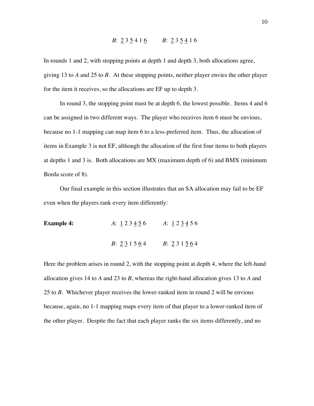### *B*: 2 3 5 4 1 6 *B*: 2 3 5 4 1 6

In rounds 1 and 2, with stopping points at depth 1 and depth 3, both allocations agree, giving 13 to *A* and 25 to *B*. At these stopping points, neither player envies the other player for the item it receives, so the allocations are EF up to depth 3.

In round 3, the stopping point must be at depth 6, the lowest possible. Items 4 and 6 can be assigned in two different ways. The player who receives item 6 must be envious, because no 1-1 mapping can map item 6 to a less-preferred item. Thus, the allocation of items in Example 3 is not EF, although the allocation of the first four items to both players at depths 1 and 3 is. Both allocations are MX (maximum depth of 6) and BMX (minimum Borda score of 8).

Our final example in this section illustrates that an SA allocation may fail to be EF even when the players rank every item differently:

**Example 4:**  $A: \underline{1} 2 3 \underline{4} 5 6$   $A: \underline{1} 2 \underline{3} \underline{4} 5 6$ *B*: <u>2</u> 3 1 5 <u>6</u> 4 *B*: 2 3 1 5 6 4

Here the problem arises in round 2, with the stopping point at depth 4, where the left-hand allocation gives 14 to *A* and 23 to *B*, whereas the right-hand allocation gives 13 to *A* and 25 to *B*. Whichever player receives the lower-ranked item in round 2 will be envious because, again, no 1-1 mapping maps every item of that player to a lower-ranked item of the other player. Despite the fact that each player ranks the six items differently, and no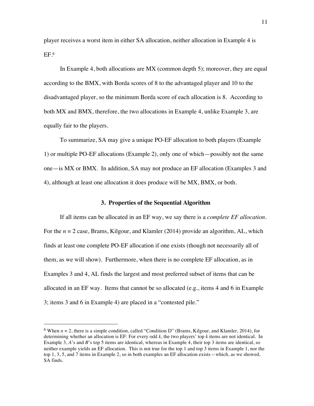player receives a worst item in either SA allocation, neither allocation in Example 4 is EF.<sup>6</sup>

In Example 4, both allocations are MX (common depth 5); moreover, they are equal according to the BMX, with Borda scores of 8 to the advantaged player and 10 to the disadvantaged player, so the minimum Borda score of each allocation is 8. According to both MX and BMX, therefore, the two allocations in Example 4, unlike Example 3, are equally fair to the players.

To summarize, SA may give a unique PO-EF allocation to both players (Example 1) or multiple PO-EF allocations (Example 2), only one of which—possibly not the same one—is MX or BMX. In addition, SA may not produce an EF allocation (Examples 3 and 4), although at least one allocation it does produce will be MX, BMX, or both.

#### **3. Properties of the Sequential Algorithm**

If all items can be allocated in an EF way, we say there is a *complete EF allocation*. For the *n* = 2 case, Brams, Kilgour, and Klamler (2014) provide an algorithm, AL, which finds at least one complete PO-EF allocation if one exists (though not necessarily all of them, as we will show). Furthermore, when there is no complete EF allocation, as in Examples 3 and 4, AL finds the largest and most preferred subset of items that can be allocated in an EF way. Items that cannot be so allocated (e.g., items 4 and 6 in Example 3; items 3 and 6 in Example 4) are placed in a "contested pile."

<sup>&</sup>lt;sup>6</sup> When  $n = 2$ , there is a simple condition, called "Condition D" (Brams, Kilgour, and Klamler, 2014), for determining whether an allocation is EF: For every odd *k*, the two players' top *k* items are not identical. In Example 3, *A*'s and *B*'s top 5 items are identical, whereas in Example 4, their top 3 items are identical, so neither example yields an EF allocation. This is not true for the top 1 and top 3 items in Example 1, nor the top 1, 3, 5, and 7 items in Example 2, so in both examples an EF allocation exists—which, as we showed, SA finds.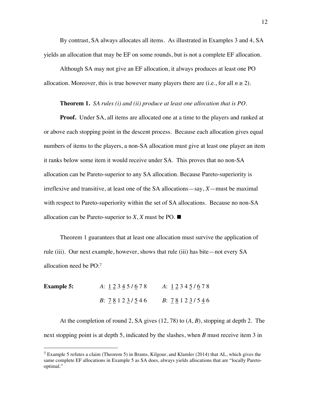By contrast, SA always allocates all items. As illustrated in Examples 3 and 4, SA yields an allocation that may be EF on some rounds, but is not a complete EF allocation.

Although SA may not give an EF allocation, it always produces at least one PO allocation. Moreover, this is true however many players there are (i.e., for all  $n \ge 2$ ).

#### **Theorem 1.** *SA rules (i) and (ii) produce at least one allocation that is PO.*

**Proof.** Under SA, all items are allocated one at a time to the players and ranked at or above each stopping point in the descent process. Because each allocation gives equal numbers of items to the players, a non-SA allocation must give at least one player an item it ranks below some item it would receive under SA. This proves that no non-SA allocation can be Pareto-superior to any SA allocation. Because Pareto-superiority is irreflexive and transitive, at least one of the SA allocations—say, *X*—must be maximal with respect to Pareto-superiority within the set of SA allocations. Because no non-SA allocation can be Pareto-superior to  $X$ ,  $X$  must be PO.  $\blacksquare$ 

Theorem 1 guarantees that at least one allocation must survive the application of rule (iii). Our next example, however, shows that rule (iii) has bite—not every SA allocation need be PO:<sup>7</sup>

**Example 5:** *A*: 1 2 3 4 5 **/** 6 7 8 *A*: 1 2 3 4 5 **/** 6 7 8 *B*: 7 8 1 2 3 **/** 5 4 6 *B*: 7 8 1 2 3 **/** 5 4 6

-

At the completion of round 2, SA gives (12, 78) to (*A*, *B*), stopping at depth 2. The next stopping point is at depth 5, indicated by the slashes, when *B* must receive item 3 in

<sup>&</sup>lt;sup>7</sup> Example 5 refutes a claim (Theorem 5) in Brams, Kilgour, and Klamler (2014) that AL, which gives the same complete EF allocations in Example 5 as SA does, always yields allocations that are "locally Paretooptimal."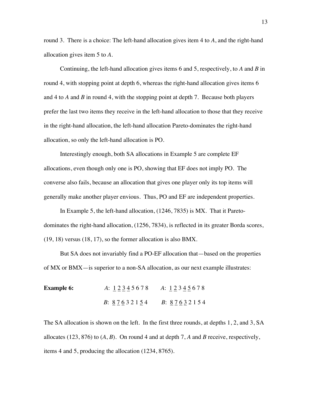round 3. There is a choice: The left-hand allocation gives item 4 to *A*, and the right-hand allocation gives item 5 to *A*.

Continuing, the left-hand allocation gives items 6 and 5, respectively, to *A* and *B* in round 4, with stopping point at depth 6, whereas the right-hand allocation gives items 6 and 4 to *A* and *B* in round 4, with the stopping point at depth 7. Because both players prefer the last two items they receive in the left-hand allocation to those that they receive in the right-hand allocation, the left-hand allocation Pareto-dominates the right-hand allocation, so only the left-hand allocation is PO.

Interestingly enough, both SA allocations in Example 5 are complete EF allocations, even though only one is PO, showing that EF does not imply PO. The converse also fails, because an allocation that gives one player only its top items will generally make another player envious. Thus, PO and EF are independent properties.

In Example 5, the left-hand allocation, (1246, 7835) is MX. That it Paretodominates the right-hand allocation, (1256, 7834), is reflected in its greater Borda scores, (19, 18) versus (18, 17), so the former allocation is also BMX.

But SA does not invariably find a PO-EF allocation that—based on the properties of MX or BMX—is superior to a non-SA allocation, as our next example illustrates:

| <b>Example 6:</b> | A: 12345678         | A: 12345678         |  |
|-------------------|---------------------|---------------------|--|
|                   | <i>B</i> : 87632154 | <i>B</i> : 87632154 |  |

The SA allocation is shown on the left. In the first three rounds, at depths 1, 2, and 3, SA allocates (123, 876) to  $(A, B)$ . On round 4 and at depth 7, A and B receive, respectively, items 4 and 5, producing the allocation (1234, 8765).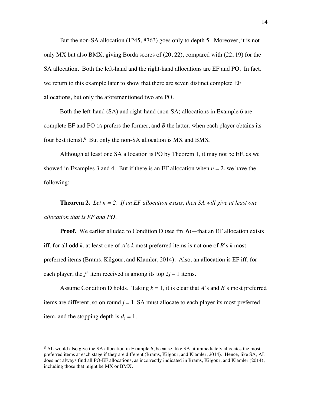But the non-SA allocation (1245, 8763) goes only to depth 5. Moreover, it is not only MX but also BMX, giving Borda scores of (20, 22), compared with (22, 19) for the SA allocation. Both the left-hand and the right-hand allocations are EF and PO. In fact. we return to this example later to show that there are seven distinct complete EF allocations, but only the aforementioned two are PO.

Both the left-hand (SA) and right-hand (non-SA) allocations in Example 6 are complete EF and PO (*A* prefers the former, and *B* the latter, when each player obtains its four best items).<sup>8</sup> But only the non-SA allocation is MX and BMX.

Although at least one SA allocation is PO by Theorem 1, it may not be EF, as we showed in Examples 3 and 4. But if there is an EF allocation when *n* = 2, we have the following:

**Theorem 2.** *Let n = 2. If an EF allocation exists, then SA will give at least one allocation that is EF and PO.*

**Proof.** We earlier alluded to Condition D (see ftn. 6)—that an EF allocation exists iff, for all odd *k*, at least one of *A*'s *k* most preferred items is not one of *B*'s *k* most preferred items (Brams, Kilgour, and Klamler, 2014). Also, an allocation is EF iff, for each player, the  $j^{\text{th}}$  item received is among its top  $2j - 1$  items.

Assume Condition D holds. Taking  $k = 1$ , it is clear that *A*'s and *B*'s most preferred items are different, so on round  $j = 1$ , SA must allocate to each player its most preferred item, and the stopping depth is  $d_1 = 1$ .

<sup>8</sup> AL would also give the SA allocation in Example 6, because, like SA, it immediately allocates the most preferred items at each stage if they are different (Brams, Kilgour, and Klamler, 2014). Hence, like SA, AL does not always find all PO-EF allocations, as incorrectly indicated in Brams, Kilgour, and Klamler (2014), including those that might be MX or BMX.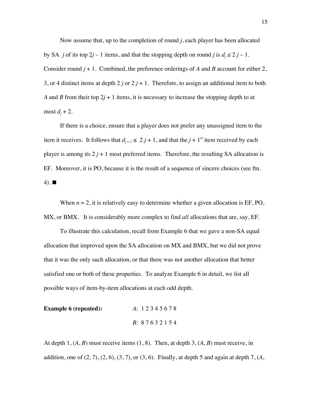Now assume that, up to the completion of round *j*, each player has been allocated by SA *j* of its top 2*j* – 1 items, and that the stopping depth on round *j* is  $d_i \le 2j - 1$ . Consider round *j* + 1. Combined, the preference orderings of *A* and *B* account for either 2, 3, or 4 distinct items at depth  $2j$  or  $2j + 1$ . Therefore, to assign an additional item to both *A* and *B* from their top 2*j* + 1 items, it is necessary to increase the stopping depth to at most  $d_i + 2$ .

If there is a choice, ensure that a player does not prefer any unassigned item to the item it receives. It follows that  $d_{j+1} \leq 2j+1$ , and that the  $j+1$ <sup>st</sup> item received by each player is among its  $2j + 1$  most preferred items. Therefore, the resulting SA allocation is EF. Moreover, it is PO, because it is the result of a sequence of sincere choices (see ftn. 4).  $\blacksquare$ 

When  $n = 2$ , it is relatively easy to determine whether a given allocation is  $EF$ , PO, MX, or BMX. It is considerably more complex to find *all* allocations that are, say, EF.

To illustrate this calculation, recall from Example 6 that we gave a non-SA equal allocation that improved upon the SA allocation on MX and BMX, but we did not prove that it was the only such allocation, or that there was not another allocation that better satisfied one or both of these properties. To analyze Example 6 in detail, we list all possible ways of item-by-item allocations at each odd depth.

| <b>Example 6 (repeated):</b> | A: 12345678         |  |  |
|------------------------------|---------------------|--|--|
|                              | <i>B</i> : 87632154 |  |  |

At depth  $1, (A, B)$  must receive items  $(1, 8)$ . Then, at depth  $3, (A, B)$  must receive, in addition, one of  $(2, 7)$ ,  $(2, 6)$ ,  $(3, 7)$ , or  $(3, 6)$ . Finally, at depth 5 and again at depth 7,  $(A, A)$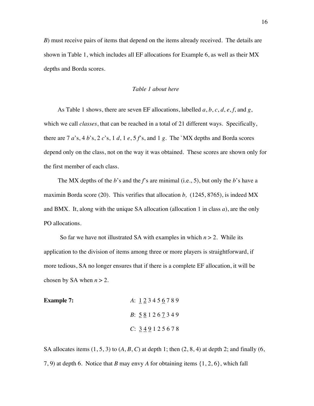*B*) must receive pairs of items that depend on the items already received. The details are shown in Table 1, which includes all EF allocations for Example 6, as well as their MX depths and Borda scores.

#### *Table 1 about here*

As Table 1 shows, there are seven EF allocations, labelled *a*, *b*, *c*, *d*, *e*, *f*, and *g*, which we call *classes*, that can be reached in a total of 21 different ways. Specifically, there are  $7a$ 's,  $4b$ 's,  $2c$ 's,  $1d$ ,  $1e$ ,  $5f$ 's, and  $1g$ . The `MX depths and Borda scores depend only on the class, not on the way it was obtained. These scores are shown only for the first member of each class.

The MX depths of the *b*'s and the *f*'s are minimal (i.e., 5), but only the *b*'s have a maximin Borda score (20). This verifies that allocation *b,* (1245, 8765), is indeed MX and BMX. It, along with the unique SA allocation (allocation 1 in class *a*), are the only PO allocations.

So far we have not illustrated SA with examples in which  $n > 2$ . While its application to the division of items among three or more players is straightforward, if more tedious, SA no longer ensures that if there is a complete EF allocation, it will be chosen by SA when  $n > 2$ .

| <b>Example 7:</b> | A: 123456789         |
|-------------------|----------------------|
|                   | <i>B</i> : 581267349 |
|                   | C: 349125678         |

SA allocates items  $(1, 5, 3)$  to  $(A, B, C)$  at depth 1; then  $(2, 8, 4)$  at depth 2; and finally  $(6, 6)$ 7, 9) at depth 6. Notice that *B* may envy *A* for obtaining items {1, 2, 6}, which fall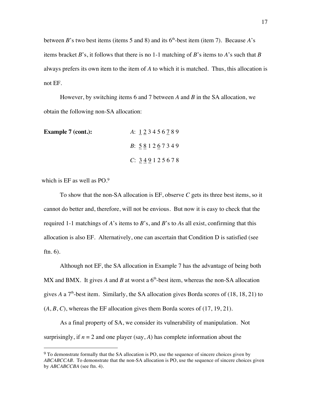between *B*'s two best items (items 5 and 8) and its  $6<sup>th</sup>$ -best item (item 7). Because *A*'s items bracket *B*'s, it follows that there is no 1-1 matching of *B*'s items to *A*'s such that *B* always prefers its own item to the item of *A* to which it is matched. Thus, this allocation is not EF.

However, by switching items 6 and 7 between *A* and *B* in the SA allocation, we obtain the following non-SA allocation:

| <b>Example 7 (cont.):</b> | A: 123456789         |
|---------------------------|----------------------|
|                           | <i>B</i> : 581267349 |
|                           | C: 349125678         |

which is EF as well as PO.<sup>9</sup>

-

To show that the non-SA allocation is EF, observe *C* gets its three best items, so it cannot do better and, therefore, will not be envious. But now it is easy to check that the required 1-1 matchings of *A*'s items to *B*'s, and *B*'s to *A*s all exist, confirming that this allocation is also EF. Alternatively, one can ascertain that Condition D is satisfied (see ftn. 6).

Although not EF, the SA allocation in Example 7 has the advantage of being both MX and BMX. It gives A and B at worst a  $6<sup>th</sup>$ -best item, whereas the non-SA allocation gives *A* a  $7<sup>th</sup>$ -best item. Similarly, the SA allocation gives Borda scores of (18, 18, 21) to  $(A, B, C)$ , whereas the EF allocation gives them Borda scores of  $(17, 19, 21)$ .

As a final property of SA, we consider its vulnerability of manipulation. Not surprisingly, if  $n = 2$  and one player (say, A) has complete information about the

<sup>&</sup>lt;sup>9</sup> To demonstrate formally that the SA allocation is PO, use the sequence of sincere choices given by *ABCABCCAB*. To demonstrate that the non-SA allocation is PO, use the sequence of sincere choices given by *ABCABCCBA* (see ftn. 4).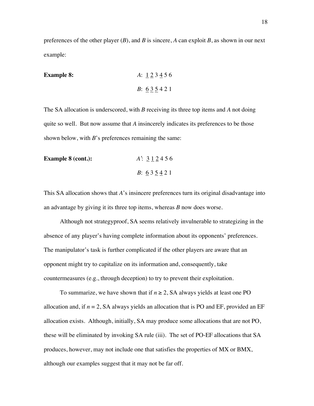preferences of the other player (*B*), and *B* is sincere, *A* can exploit *B*, as shown in our next example:

**Example 8:**   
*A*: 
$$
1 \ 2 \ 3 \ 4 \ 5 \ 6
$$
  
*B*:  $6 \ 3 \ 5 \ 4 \ 2 \ 1$ 

The SA allocation is underscored, with *B* receiving its three top items and *A* not doing quite so well. But now assume that *A* insincerely indicates its preferences to be those shown below, with *B*'s preferences remaining the same:

| <b>Example 8 (cont.):</b> | A: 312456           |
|---------------------------|---------------------|
|                           | <i>B</i> : $635421$ |

This SA allocation shows that *A*'s insincere preferences turn its original disadvantage into an advantage by giving it its three top items, whereas *B* now does worse.

Although not strategyproof, SA seems relatively invulnerable to strategizing in the absence of any player's having complete information about its opponents' preferences. The manipulator's task is further complicated if the other players are aware that an opponent might try to capitalize on its information and, consequently, take countermeasures (e.g., through deception) to try to prevent their exploitation.

To summarize, we have shown that if  $n \geq 2$ , SA always yields at least one PO allocation and, if  $n = 2$ , SA always yields an allocation that is PO and EF, provided an EF allocation exists. Although, initially, SA may produce some allocations that are not PO, these will be eliminated by invoking SA rule (iii). The set of PO-EF allocations that SA produces, however, may not include one that satisfies the properties of MX or BMX, although our examples suggest that it may not be far off.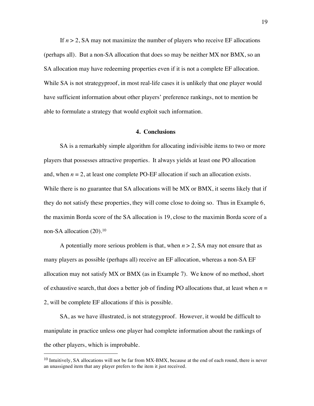If  $n > 2$ , SA may not maximize the number of players who receive EF allocations (perhaps all). But a non-SA allocation that does so may be neither MX nor BMX, so an SA allocation may have redeeming properties even if it is not a complete EF allocation. While SA is not strategyproof, in most real-life cases it is unlikely that one player would have sufficient information about other players' preference rankings, not to mention be able to formulate a strategy that would exploit such information.

#### **4. Conclusions**

SA is a remarkably simple algorithm for allocating indivisible items to two or more players that possesses attractive properties. It always yields at least one PO allocation and, when  $n = 2$ , at least one complete PO-EF allocation if such an allocation exists. While there is no guarantee that SA allocations will be MX or BMX, it seems likely that if they do not satisfy these properties, they will come close to doing so. Thus in Example 6, the maximin Borda score of the SA allocation is 19, close to the maximin Borda score of a non-SA allocation  $(20).<sup>10</sup>$ 

A potentially more serious problem is that, when  $n > 2$ , SA may not ensure that as many players as possible (perhaps all) receive an EF allocation, whereas a non-SA EF allocation may not satisfy MX or BMX (as in Example 7). We know of no method, short of exhaustive search, that does a better job of finding PO allocations that, at least when  $n =$ 2, will be complete EF allocations if this is possible.

SA, as we have illustrated, is not strategyproof. However, it would be difficult to manipulate in practice unless one player had complete information about the rankings of the other players, which is improbable.

 $10$  Intuitively, SA allocations will not be far from MX-BMX, because at the end of each round, there is never an unassigned item that any player prefers to the item it just received.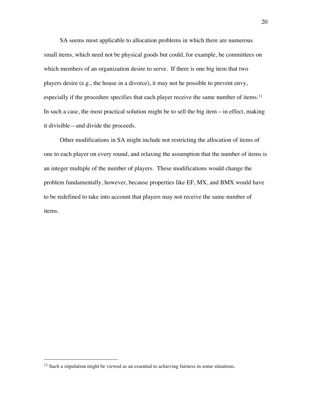SA seems most applicable to allocation problems in which there are numerous small items, which need not be physical goods but could, for example, be committees on which members of an organization desire to serve. If there is one big item that two players desire (e.g., the house in a divorce), it may not be possible to prevent envy, especially if the procedure specifies that each player receive the same number of items. 11 In such a case, the most practical solution might be to sell the big item—in effect, making it divisible—and divide the proceeds.

Other modifications in SA might include not restricting the allocation of items of one to each player on every round, and relaxing the assumption that the number of items is an integer multiple of the number of players. These modifications would change the problem fundamentally, however, because properties like EF, MX, and BMX would have to be redefined to take into account that players may not receive the same number of items.

<sup>&</sup>lt;sup>11</sup> Such a stipulation might be viewed as an essential to achieving fairness in some situations.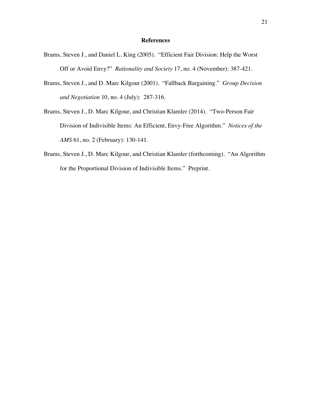#### **References**

- Brams, Steven J., and Daniel L. King (2005). "Efficient Fair Division: Help the Worst Off or Avoid Envy?" *Rationality and Society* 17, no. 4 (November): 387-421.
- Brams, Steven J., and D. Marc Kilgour (2001). "Fallback Bargaining." *Group Decision and Negotiation* 10, no. 4 (July): 287-316.
- Brams, Steven J., D. Marc Kilgour, and Christian Klamler (2014). "Two-Person Fair Division of Indivisible Items: An Efficient, Envy-Free Algorithm." *Notices of the AMS* 61, no. 2 (February): 130-141.
- Brams, Steven J., D. Marc Kilgour, and Christian Klamler (forthcoming). "An Algorithm for the Proportional Division of Indivisible Items." Preprint.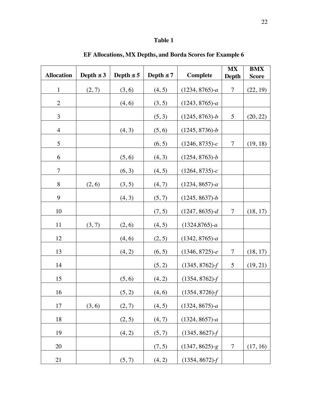## **Table 1**

| <b>Allocation</b> | Depth $\leq$ 3 | Depth $\leq$ 5 | Depth $\leq 7$ | <b>Complete</b>   | <b>MX</b><br>Depth | <b>BMX</b><br><b>Score</b> |
|-------------------|----------------|----------------|----------------|-------------------|--------------------|----------------------------|
| $\mathbf{1}$      | (2, 7)         | (3, 6)         | (4, 5)         | $(1234, 8765)$ -a | $\overline{7}$     | (22, 19)                   |
| $\overline{2}$    |                | (4, 6)         | (3, 5)         | $(1243, 8765)$ -a |                    |                            |
| 3                 |                |                | (5, 3)         | $(1245, 8763)$ -b | 5                  | (20, 22)                   |
| $\overline{4}$    |                | (4, 3)         | (5, 6)         | $(1245, 8736)-b$  |                    |                            |
| 5                 |                |                | (6, 5)         | $(1246, 8735)-c$  | 7                  | (19, 18)                   |
| 6                 |                | (5, 6)         | (4, 3)         | $(1254, 8763)$ -b |                    |                            |
| 7                 |                | (6, 3)         | (4, 5)         | $(1264, 8735)-c$  |                    |                            |
| 8                 | (2, 6)         | (3, 5)         | (4, 7)         | $(1234, 8657)$ -a |                    |                            |
| 9                 |                | (4, 3)         | (5, 7)         | $(1245, 8637)$ -b |                    |                            |
| 10                |                |                | (7, 5)         | $(1247, 8635)$ -d | $\overline{7}$     | (18, 17)                   |
| 11                | (3, 7)         | (2, 6)         | (4, 5)         | $(1324, 8765)$ -a |                    |                            |
| 12                |                | (4, 6)         | (2, 5)         | $(1342, 8765)$ -a |                    |                            |
| 13                |                | (4, 2)         | (6, 5)         | $(1346, 8725)$ -e | 7                  | (18, 17)                   |
| 14                |                |                | (5, 2)         | $(1345, 8762)$ -f | 5                  | (19, 21)                   |
| 15                |                | (5, 6)         | (4, 2)         | $(1354, 8762)$ -f |                    |                            |
| 16                |                | (5, 2)         | (4, 6)         | $(1354, 8726)$ -f |                    |                            |
| 17                | (3, 6)         | (2, 7)         | (4, 5)         | $(1324, 8675)$ -a |                    |                            |
| 18                |                | (2, 5)         | (4, 7)         | $(1324, 8657)$ -a |                    |                            |
| 19                |                | (4, 2)         | (5, 7)         | $(1345, 8627)$ -f |                    |                            |
| 20                |                |                | (7, 5)         | $(1347, 8625)$ -g | $\overline{7}$     | (17, 16)                   |
| 21                |                | (5, 7)         | (4, 2)         | $(1354, 8672)$ -f |                    |                            |

**EF Allocations, MX Depths, and Borda Scores for Example 6**